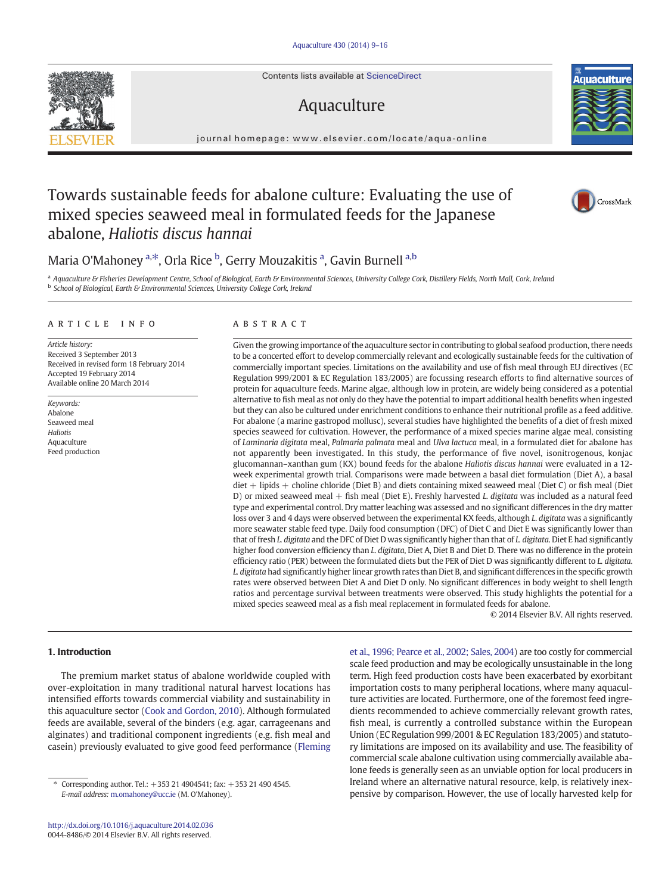Contents lists available at ScienceDirect

# Aquaculture

journal homepage: www.elsevier.com/locate/aqua-online

# Towards sustainable feeds for abalone culture: Evaluating the use of mixed species seaweed meal in formulated feeds for the Japanese abalone, Haliotis discus hannai



**Aquaculture** 

# Maria O'Mahoney <sup>a,\*</sup>, Orla Rice <sup>b</sup>, Gerry Mouzakitis <sup>a</sup>, Gavin Burnell <sup>a,b</sup>

a Aquaculture & Fisheries Development Centre, School of Biological, Earth & Environmental Sciences, University College Cork, Distillery Fields, North Mall, Cork, Ireland **b** School of Biological, Earth & Environmental Sciences, University College Cork, Ireland

# article info abstract

Article history: Received 3 September 2013 Received in revised form 18 February 2014 Accepted 19 February 2014 Available online 20 March 2014

Keywords: Abalone Seaweed meal Haliotis Aquaculture Feed production

Given the growing importance of the aquaculture sector in contributing to global seafood production, there needs to be a concerted effort to develop commercially relevant and ecologically sustainable feeds for the cultivation of commercially important species. Limitations on the availability and use of fish meal through EU directives (EC Regulation 999/2001 & EC Regulation 183/2005) are focussing research efforts to find alternative sources of protein for aquaculture feeds. Marine algae, although low in protein, are widely being considered as a potential alternative to fish meal as not only do they have the potential to impart additional health benefits when ingested but they can also be cultured under enrichment conditions to enhance their nutritional profile as a feed additive. For abalone (a marine gastropod mollusc), several studies have highlighted the benefits of a diet of fresh mixed species seaweed for cultivation. However, the performance of a mixed species marine algae meal, consisting of Laminaria digitata meal, Palmaria palmata meal and Ulva lactuca meal, in a formulated diet for abalone has not apparently been investigated. In this study, the performance of five novel, isonitrogenous, konjac glucomannan–xanthan gum (KX) bound feeds for the abalone Haliotis discus hannai were evaluated in a 12 week experimental growth trial. Comparisons were made between a basal diet formulation (Diet A), a basal diet + lipids + choline chloride (Diet B) and diets containing mixed seaweed meal (Diet C) or fish meal (Diet D) or mixed seaweed meal + fish meal (Diet E). Freshly harvested L. digitata was included as a natural feed type and experimental control. Dry matter leaching was assessed and no significant differences in the dry matter loss over 3 and 4 days were observed between the experimental KX feeds, although L. digitata was a significantly more seawater stable feed type. Daily food consumption (DFC) of Diet C and Diet E was significantly lower than that of fresh L. digitata and the DFC of Diet D was significantly higher than that of L. digitata. Diet E had significantly higher food conversion efficiency than L. digitata, Diet A, Diet B and Diet D. There was no difference in the protein efficiency ratio (PER) between the formulated diets but the PER of Diet D was significantly different to L. digitata. L. digitata had significantly higher linear growth rates than Diet B, and significant differences in the specific growth rates were observed between Diet A and Diet D only. No significant differences in body weight to shell length ratios and percentage survival between treatments were observed. This study highlights the potential for a mixed species seaweed meal as a fish meal replacement in formulated feeds for abalone.

© 2014 Elsevier B.V. All rights reserved.

# 1. Introduction

The premium market status of abalone worldwide coupled with over-exploitation in many traditional natural harvest locations has intensified efforts towards commercial viability and sustainability in this aquaculture sector ([Cook and Gordon, 2010](#page-6-0)). Although formulated feeds are available, several of the binders (e.g. agar, carrageenans and alginates) and traditional component ingredients (e.g. fish meal and casein) previously evaluated to give good feed performance ([Fleming](#page-6-0) [et al., 1996; Pearce et al., 2002; Sales, 2004](#page-6-0)) are too costly for commercial scale feed production and may be ecologically unsustainable in the long term. High feed production costs have been exacerbated by exorbitant importation costs to many peripheral locations, where many aquaculture activities are located. Furthermore, one of the foremost feed ingredients recommended to achieve commercially relevant growth rates, fish meal, is currently a controlled substance within the European Union (EC Regulation 999/2001 & EC Regulation 183/2005) and statutory limitations are imposed on its availability and use. The feasibility of commercial scale abalone cultivation using commercially available abalone feeds is generally seen as an unviable option for local producers in Ireland where an alternative natural resource, kelp, is relatively inexpensive by comparison. However, the use of locally harvested kelp for



<sup>⁎</sup> Corresponding author. Tel.: +353 21 4904541; fax: +353 21 490 4545. E-mail address: [m.omahoney@ucc.ie](mailto:m.omahoney@ucc.ie) (M. O'Mahoney).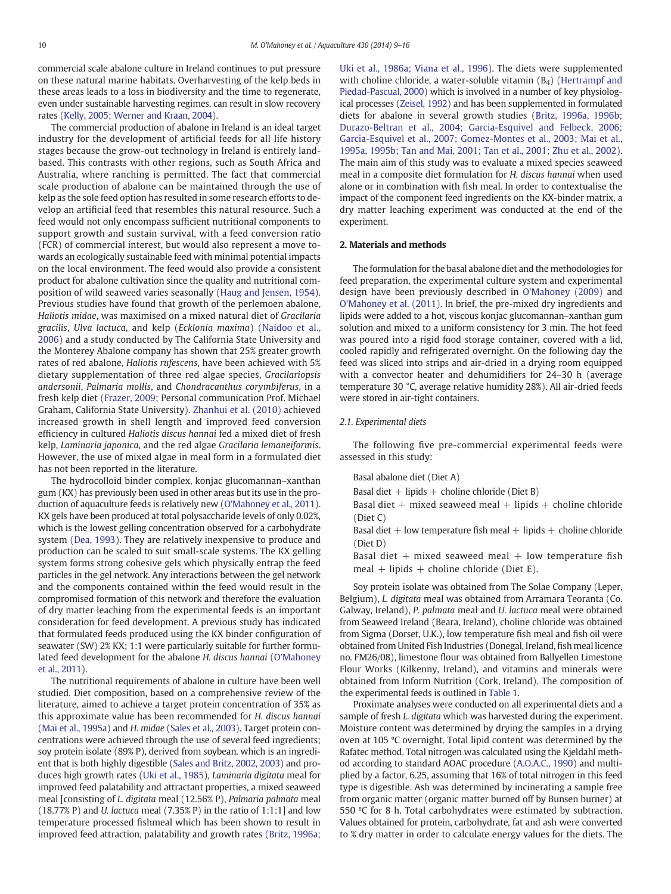commercial scale abalone culture in Ireland continues to put pressure on these natural marine habitats. Overharvesting of the kelp beds in these areas leads to a loss in biodiversity and the time to regenerate, even under sustainable harvesting regimes, can result in slow recovery rates ([Kelly, 2005; Werner and Kraan, 2004](#page-7-0)).

The commercial production of abalone in Ireland is an ideal target industry for the development of artificial feeds for all life history stages because the grow-out technology in Ireland is entirely landbased. This contrasts with other regions, such as South Africa and Australia, where ranching is permitted. The fact that commercial scale production of abalone can be maintained through the use of kelp as the sole feed option has resulted in some research efforts to develop an artificial feed that resembles this natural resource. Such a feed would not only encompass sufficient nutritional components to support growth and sustain survival, with a feed conversion ratio (FCR) of commercial interest, but would also represent a move towards an ecologically sustainable feed with minimal potential impacts on the local environment. The feed would also provide a consistent product for abalone cultivation since the quality and nutritional composition of wild seaweed varies seasonally ([Haug and Jensen, 1954](#page-7-0)). Previous studies have found that growth of the perlemoen abalone, Haliotis midae, was maximised on a mixed natural diet of Gracilaria gracilis, Ulva lactuca, and kelp (Ecklonia maxima) ([Naidoo et al.,](#page-7-0) [2006](#page-7-0)) and a study conducted by The California State University and the Monterey Abalone company has shown that 25% greater growth rates of red abalone, Haliotis rufescens, have been achieved with 5% dietary supplementation of three red algae species, Gracilariopsis andersonii, Palmaria mollis, and Chondracanthus corymbiferus, in a fresh kelp diet ([Frazer, 2009](#page-6-0); Personal communication Prof. Michael Graham, California State University). [Zhanhui et al. \(2010\)](#page-7-0) achieved increased growth in shell length and improved feed conversion efficiency in cultured Haliotis discus hannai fed a mixed diet of fresh kelp, Laminaria japonica, and the red algae Gracilaria lemaneiformis. However, the use of mixed algae in meal form in a formulated diet has not been reported in the literature.

The hydrocolloid binder complex, konjac glucomannan–xanthan gum (KX) has previously been used in other areas but its use in the production of aquaculture feeds is relatively new [\(O'Mahoney et al., 2011\)](#page-7-0). KX gels have been produced at total polysaccharide levels of only 0.02%, which is the lowest gelling concentration observed for a carbohydrate system ([Dea, 1993\)](#page-6-0). They are relatively inexpensive to produce and production can be scaled to suit small-scale systems. The KX gelling system forms strong cohesive gels which physically entrap the feed particles in the gel network. Any interactions between the gel network and the components contained within the feed would result in the compromised formation of this network and therefore the evaluation of dry matter leaching from the experimental feeds is an important consideration for feed development. A previous study has indicated that formulated feeds produced using the KX binder configuration of seawater (SW) 2% KX; 1:1 were particularly suitable for further formulated feed development for the abalone H. discus hannai [\(O'Mahoney](#page-7-0) [et al., 2011](#page-7-0)).

The nutritional requirements of abalone in culture have been well studied. Diet composition, based on a comprehensive review of the literature, aimed to achieve a target protein concentration of 35% as this approximate value has been recommended for H. discus hannai [\(Mai et al., 1995a\)](#page-7-0) and H. midae [\(Sales et al., 2003](#page-7-0)). Target protein concentrations were achieved through the use of several feed ingredients; soy protein isolate (89% P), derived from soybean, which is an ingredient that is both highly digestible ([Sales and Britz, 2002, 2003\)](#page-7-0) and produces high growth rates ([Uki et al., 1985\)](#page-7-0), Laminaria digitata meal for improved feed palatability and attractant properties, a mixed seaweed meal [consisting of L. digitata meal (12.56% P), Palmaria palmata meal  $(18.77\% \text{ P})$  and U. lactuca meal  $(7.35\% \text{ P})$  in the ratio of 1:1:1] and low temperature processed fishmeal which has been shown to result in improved feed attraction, palatability and growth rates ([Britz, 1996a;](#page-6-0) [Uki et al., 1986a; Viana et al., 1996](#page-6-0)). The diets were supplemented with choline chloride, a water-soluble vitamin  $(B_4)$  ([Hertrampf and](#page-7-0) [Piedad-Pascual, 2000](#page-7-0)) which is involved in a number of key physiological processes [\(Zeisel, 1992](#page-7-0)) and has been supplemented in formulated diets for abalone in several growth studies ([Britz, 1996a, 1996b;](#page-6-0) [Durazo-Beltran et al., 2004; Garcia-Esquivel and Felbeck, 2006;](#page-6-0) [Garcia-Esquivel et al., 2007; Gomez-Montes et al., 2003; Mai et al.,](#page-6-0) [1995a, 1995b; Tan and Mai, 2001; Tan et al., 2001; Zhu et al., 2002](#page-6-0)). The main aim of this study was to evaluate a mixed species seaweed meal in a composite diet formulation for H. discus hannai when used alone or in combination with fish meal. In order to contextualise the impact of the component feed ingredients on the KX-binder matrix, a dry matter leaching experiment was conducted at the end of the experiment.

#### 2. Materials and methods

The formulation for the basal abalone diet and the methodologies for feed preparation, the experimental culture system and experimental design have been previously described in [O'Mahoney \(2009\)](#page-7-0) and [O'Mahoney et al. \(2011\)](#page-7-0). In brief, the pre-mixed dry ingredients and lipids were added to a hot, viscous konjac glucomannan–xanthan gum solution and mixed to a uniform consistency for 3 min. The hot feed was poured into a rigid food storage container, covered with a lid, cooled rapidly and refrigerated overnight. On the following day the feed was sliced into strips and air-dried in a drying room equipped with a convector heater and dehumidifiers for 24–30 h (average temperature 30 °C, average relative humidity 28%). All air-dried feeds were stored in air-tight containers.

# 2.1. Experimental diets

The following five pre-commercial experimental feeds were assessed in this study:

#### Basal abalone diet (Diet A)

Basal diet  $+$  lipids  $+$  choline chloride (Diet B)

Basal diet  $+$  mixed seaweed meal  $+$  lipids  $+$  choline chloride (Diet C)

Basal diet  $+$  low temperature fish meal  $+$  lipids  $+$  choline chloride (Diet D)

Basal diet  $+$  mixed seaweed meal  $+$  low temperature fish meal + lipids + choline chloride (Diet E).

Soy protein isolate was obtained from The Solae Company (Leper, Belgium), L. digitata meal was obtained from Arramara Teoranta (Co. Galway, Ireland), P. palmata meal and U. lactuca meal were obtained from Seaweed Ireland (Beara, Ireland), choline chloride was obtained from Sigma (Dorset, U.K.), low temperature fish meal and fish oil were obtained from United Fish Industries (Donegal, Ireland, fish meal licence no. FM26/08), limestone flour was obtained from Ballyellen Limestone Flour Works (Kilkenny, Ireland), and vitamins and minerals were obtained from Inform Nutrition (Cork, Ireland). The composition of the experimental feeds is outlined in [Table 1.](#page-2-0)

Proximate analyses were conducted on all experimental diets and a sample of fresh *L. digitata* which was harvested during the experiment. Moisture content was determined by drying the samples in a drying oven at 105 ºC overnight. Total lipid content was determined by the Rafatec method. Total nitrogen was calculated using the Kjeldahl method according to standard AOAC procedure [\(A.O.A.C., 1990\)](#page-6-0) and multiplied by a factor, 6.25, assuming that 16% of total nitrogen in this feed type is digestible. Ash was determined by incinerating a sample free from organic matter (organic matter burned off by Bunsen burner) at 550 ºC for 8 h. Total carbohydrates were estimated by subtraction. Values obtained for protein, carbohydrate, fat and ash were converted to % dry matter in order to calculate energy values for the diets. The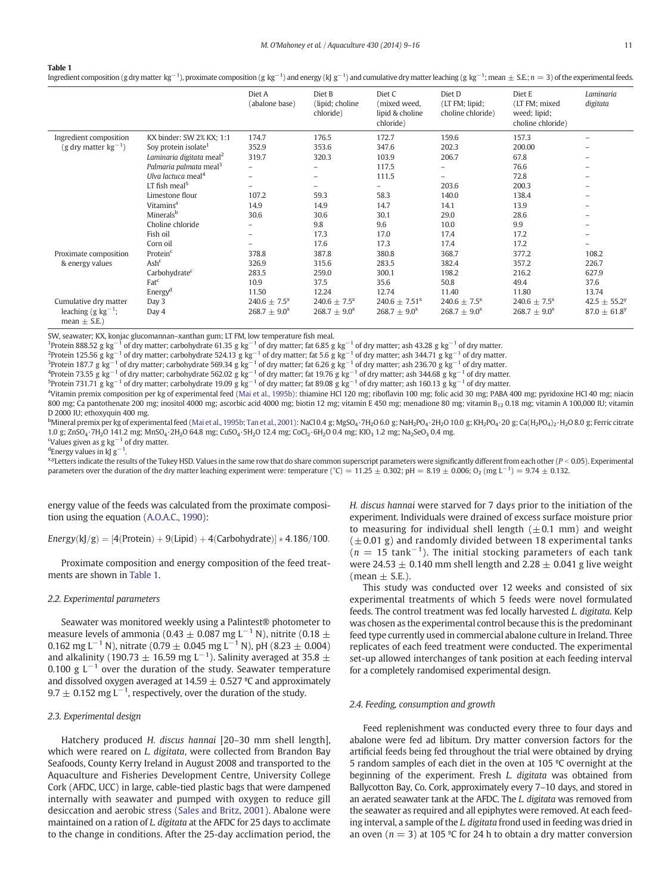<span id="page-2-0"></span>

|--|

**Table 1**<br>Ingredient composition (g dry matter kg<sup>−1</sup>), proximate composition (g kg<sup>−1</sup>) and energy (kJ g<sup>−1</sup>) and cumulative dry matter leaching (g kg<sup>−1</sup>; mean ± S.E.; n = 3) of the experimental feeds.

|                                             |                                      | Diet A<br>(abalone base) | Diet B<br>(lipid; choline<br>chloride) | Diet C<br>(mixed weed,<br>lipid & choline<br>chloride) | Diet D<br>(LT FM; lipid;<br>choline chloride) | Diet E<br>(LT FM; mixed<br>weed; lipid;<br>choline chloride) | Laminaria<br>digitata        |
|---------------------------------------------|--------------------------------------|--------------------------|----------------------------------------|--------------------------------------------------------|-----------------------------------------------|--------------------------------------------------------------|------------------------------|
| Ingredient composition                      | KX binder: SW 2% KX; 1:1             | 174.7                    | 176.5                                  | 172.7                                                  | 159.6                                         | 157.3                                                        |                              |
| (g dry matter $kg^{-1}$ )                   | Soy protein isolate <sup>1</sup>     | 352.9                    | 353.6                                  | 347.6                                                  | 202.3                                         | 200.00                                                       |                              |
|                                             | Laminaria digitata meal <sup>2</sup> | 319.7                    | 320.3                                  | 103.9                                                  | 206.7                                         | 67.8                                                         | $\qquad \qquad =$            |
|                                             | Palmaria palmata meal <sup>3</sup>   | $\overline{\phantom{0}}$ | Ξ.                                     | 117.5                                                  | -                                             | 76.6                                                         | $\qquad \qquad =$            |
|                                             | Ulva lactuca meal <sup>4</sup>       | $\overline{\phantom{0}}$ | Ξ.                                     | 111.5                                                  | $\overline{\phantom{0}}$                      | 72.8                                                         | $\qquad \qquad -$            |
|                                             | LT fish meal $5$                     |                          | $-$                                    | -                                                      | 203.6                                         | 200.3                                                        |                              |
|                                             | Limestone flour                      | 107.2                    | 59.3                                   | 58.3                                                   | 140.0                                         | 138.4                                                        | $\overline{\phantom{0}}$     |
|                                             | Vitamins <sup>a</sup>                | 14.9                     | 14.9                                   | 14.7                                                   | 14.1                                          | 13.9                                                         |                              |
|                                             | Mineralsb                            | 30.6                     | 30.6                                   | 30.1                                                   | 29.0                                          | 28.6                                                         | $\qquad \qquad -$            |
|                                             | Choline chloride                     | ۰                        | 9.8                                    | 9.6                                                    | 10.0                                          | 9.9                                                          | $\overline{\phantom{0}}$     |
|                                             | Fish oil                             |                          | 17.3                                   | 17.0                                                   | 17.4                                          | 17.2                                                         | $\qquad \qquad -$            |
|                                             | Corn oil                             |                          | 17.6                                   | 17.3                                                   | 17.4                                          | 17.2                                                         |                              |
| Proximate composition                       | Protein <sup>c</sup>                 | 378.8                    | 387.8                                  | 380.8                                                  | 368.7                                         | 377.2                                                        | 108.2                        |
| & energy values                             | Ash <sup>c</sup>                     | 326.9                    | 315.6                                  | 283.5                                                  | 382.4                                         | 357.2                                                        | 226.7                        |
|                                             | Carbohydrate <sup>c</sup>            | 283.5                    | 259.0                                  | 300.1                                                  | 198.2                                         | 216.2                                                        | 627.9                        |
|                                             | Fact <sup>c</sup>                    | 10.9                     | 37.5                                   | 35.6                                                   | 50.8                                          | 49.4                                                         | 37.6                         |
|                                             | Energy <sup>d</sup>                  | 11.50                    | 12.24                                  | 12.74                                                  | 11.40                                         | 11.80                                                        | 13.74                        |
| Cumulative dry matter                       | Day 3                                | $240.6 \pm 7.5^x$        | $240.6 \pm 7.5^x$                      | $240.6 \pm 7.51$ <sup>x</sup>                          | $240.6 \pm 7.5^x$                             | $240.6 \pm 7.5^x$                                            | $42.5 \pm 55.2^y$            |
| leaching (g $kg^{-1}$ ;<br>mean $\pm$ S.E.) | Day 4                                | $268.7 \pm 9.0^x$        | $268.7 \pm 9.0^x$                      | $268.7 \pm 9.0^x$                                      | $268.7 \pm 9.0^x$                             | $268.7 \pm 9.0^x$                                            | $87.0 \pm 61.8$ <sup>y</sup> |

SW, seawater; KX, konjac glucomannan–xanthan gum; LT FM, low temperature fish meal.

<sup>1</sup>Protein 888.52 g kg<sup>-1</sup> of dry matter; carbohydrate 61.35 g kg<sup>-1</sup> of dry matter; fat 6.85 g kg<sup>-1</sup> of dry matter; ash 43.28 g kg<sup>-1</sup> of dry matter.

 $^{2}$ Protein 125.56 g kg $^{-1}$  of dry matter; carbohydrate 524.13 g kg $^{-1}$  of dry matter; fat 5.6 g kg $^{-1}$  of dry matter; ash 344.71 g kg $^{-1}$  of dry matter.

 $\rm ^3$ Protein 187.7 g kg $^{-1}$  of dry matter; carbohydrate 569.34 g kg $^{-1}$  of dry matter; fat 6.26 g kg $^{-1}$  of dry matter; ash 236.70 g kg $^{-1}$  of dry matter.<br><sup>4</sup>Protein 73.55 g kg $^{-1}$  of dry matter; carbohydrate 562.02

a Vitamin premix composition per kg of experimental feed [\(Mai et al., 1995b](#page-7-0)): thiamine HCl 120 mg; riboflavin 100 mg; folic acid 30 mg; PABA 400 mg; pyridoxine HCl 40 mg; niacin 800 mg; Ca pantothenate 200 mg; inositol 4000 mg; ascorbic acid 4000 mg; biotin 12 mg; vitamin E 450 mg; menadione 80 mg; vitamin B<sub>12</sub> 0.18 mg; vitamin A 100,000 IU; vitamin D 2000 IU; ethoxyquin 400 mg.

 $^{\rm b}$ Mineral premix per kg of experimental feed [\(Mai et al., 1995b; Tan et al., 2001\)](#page-7-0): NaCl 0.4 g; MgSO<sub>4</sub>·7H<sub>2</sub>O 6.0 g; NaH<sub>2</sub>PO<sub>4</sub>·2H<sub>2</sub>O 10.0 g; KH<sub>2</sub>PO<sub>4</sub>·20 g; Ca(H<sub>2</sub>PO<sub>4</sub>)<sub>2</sub>·H<sub>2</sub>O 8.0 g; Ferric citrate 1.0 g; ZnSO<sub>4</sub>·7H<sub>2</sub>O 141.2 mg; MnSO<sub>4</sub>·2H<sub>2</sub>O 64.8 mg; CuSO<sub>4</sub>·5H<sub>2</sub>O 12.4 mg; CoCl<sub>2</sub>·6H<sub>2</sub>O 0.4 mg; KlO<sub>3</sub> 1.2 mg; Na<sub>2</sub>SeO<sub>3</sub> 0.4 mg.

 $\text{°Values given as g kg}^{-1}$  of dry matter.

<sup>d</sup>Energy values in kJ g<sup>−1</sup> .

xyLetters indicate the results of the Tukey HSD. Values in the same row that do share common superscript parameters were significantly different from each other (P < 0.05). Experimental parameters over the duration of the dry matter leaching experiment were: temperature (°C) =  $11.25 \pm 0.302$ ; pH =  $8.19 \pm 0.006$ ; O<sub>2</sub> (mg L<sup>-1</sup>) =  $9.74 \pm 0.132$ .

energy value of the feeds was calculated from the proximate composition using the equation ([A.O.A.C., 1990\)](#page-6-0):

 $Energy(kJ/g) = [4(Protein) + 9(Lipid) + 4(Carbohydrate)] * 4.186/100.$ 

Proximate composition and energy composition of the feed treatments are shown in Table 1.

# 2.2. Experimental parameters

Seawater was monitored weekly using a Palintest® photometer to measure levels of ammonia (0.43  $\pm$  0.087 mg L<sup>-1</sup> N), nitrite (0.18  $\pm$ 0.162 mg L<sup>-1</sup> N), nitrate (0.79  $\pm$  0.045 mg L<sup>-1</sup> N), pH (8.23  $\pm$  0.004) and alkalinity (190.73  $\pm$  16.59 mg L<sup>−1</sup>). Salinity averaged at 35.8  $\pm$ 0.100 g L<sup> $-1$ </sup> over the duration of the study. Seawater temperature and dissolved oxygen averaged at  $14.59 \pm 0.527$  °C and approximately  $9.7\pm0.152$  mg L $^{-1}$ , respectively, over the duration of the study.

## 2.3. Experimental design

Hatchery produced H. discus hannai [20–30 mm shell length], which were reared on *L. digitata*, were collected from Brandon Bay Seafoods, County Kerry Ireland in August 2008 and transported to the Aquaculture and Fisheries Development Centre, University College Cork (AFDC, UCC) in large, cable-tied plastic bags that were dampened internally with seawater and pumped with oxygen to reduce gill desiccation and aerobic stress [\(Sales and Britz, 2001](#page-7-0)). Abalone were maintained on a ration of L. digitata at the AFDC for 25 days to acclimate to the change in conditions. After the 25-day acclimation period, the H. discus hannai were starved for 7 days prior to the initiation of the experiment. Individuals were drained of excess surface moisture prior to measuring for individual shell length  $(\pm 0.1 \text{ mm})$  and weight  $(±0.01 g)$  and randomly divided between 18 experimental tanks  $(n = 15$  tank<sup>-1</sup>). The initial stocking parameters of each tank were 24.53  $\pm$  0.140 mm shell length and 2.28  $\pm$  0.041 g live weight (mean  $\pm$  S.E.).

This study was conducted over 12 weeks and consisted of six experimental treatments of which 5 feeds were novel formulated feeds. The control treatment was fed locally harvested L. digitata. Kelp was chosen as the experimental control because this is the predominant feed type currently used in commercial abalone culture in Ireland. Three replicates of each feed treatment were conducted. The experimental set-up allowed interchanges of tank position at each feeding interval for a completely randomised experimental design.

#### 2.4. Feeding, consumption and growth

Feed replenishment was conducted every three to four days and abalone were fed ad libitum. Dry matter conversion factors for the artificial feeds being fed throughout the trial were obtained by drying 5 random samples of each diet in the oven at 105 ºC overnight at the beginning of the experiment. Fresh L. digitata was obtained from Ballycotton Bay, Co. Cork, approximately every 7–10 days, and stored in an aerated seawater tank at the AFDC. The L. digitata was removed from the seawater as required and all epiphytes were removed. At each feeding interval, a sample of the L. digitata frond used in feeding was dried in an oven ( $n = 3$ ) at 105 °C for 24 h to obtain a dry matter conversion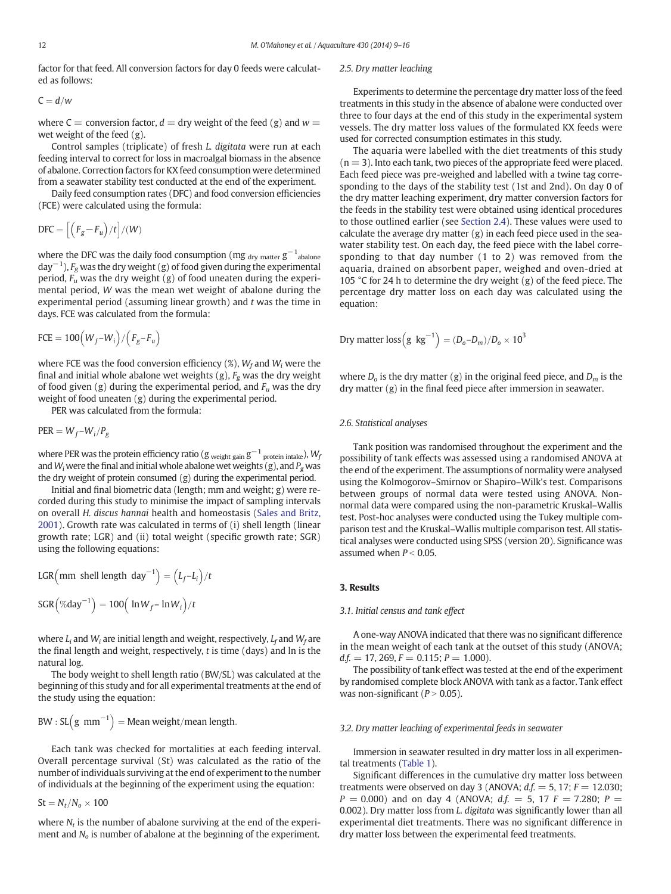factor for that feed. All conversion factors for day 0 feeds were calculated as follows:

$$
C=d/w
$$

where  $C =$  conversion factor,  $d =$  dry weight of the feed (g) and  $w =$ wet weight of the feed (g).

Control samples (triplicate) of fresh L. digitata were run at each feeding interval to correct for loss in macroalgal biomass in the absence of abalone. Correction factors for KX feed consumption were determined from a seawater stability test conducted at the end of the experiment.

Daily feed consumption rates (DFC) and food conversion efficiencies (FCE) were calculated using the formula:

$$
\text{DFC} = \left[ \left( F_g - F_u \right) / t \right] / (W)
$$

where the DFC was the daily food consumption (mg  $_{\rm dry\ matter}$   ${\rm g}^{-1}$ <sub>abalone</sub> day $^{-1}$ ),  $F_{g}$  was the dry weight (g) of food given during the experimental period,  $F_u$  was the dry weight (g) of food uneaten during the experimental period, W was the mean wet weight of abalone during the experimental period (assuming linear growth) and  $t$  was the time in days. FCE was calculated from the formula:

$$
\text{FCE} = 100 \left( W_f - W_i \right) / \left( F_g - F_u \right)
$$

where FCE was the food conversion efficiency  $(\%)$ ,  $W_f$  and  $W_i$  were the final and initial whole abalone wet weights  $(g)$ ,  $F_g$  was the dry weight of food given (g) during the experimental period, and  $F_u$  was the dry weight of food uneaten (g) during the experimental period.

PER was calculated from the formula:

 $PER = W_f-W_i/P_g$ 

where PER was the protein efficiency ratio (g  $_{\rm weight \ gain}$  g $^{-1}$   $_{\rm protein \ intake}$ ),  $W_{\rm j}$ and  $W_i$  were the final and initial whole abalone wet weights (g), and  $P_g$  was the dry weight of protein consumed (g) during the experimental period.

Initial and final biometric data (length; mm and weight; g) were recorded during this study to minimise the impact of sampling intervals on overall H. discus hannai health and homeostasis [\(Sales and Britz,](#page-7-0) [2001\)](#page-7-0). Growth rate was calculated in terms of (i) shell length (linear growth rate; LGR) and (ii) total weight (specific growth rate; SGR) using the following equations:

$$
LGR\left(mm \text{ shell length day}^{-1}\right) = \left(L_f - L_i\right) / t
$$

$$
SGR(\%day^{-1}) = 100\Big(\ln W_f - \ln W_i\Big)/t
$$

where  $L_i$  and  $W_i$  are initial length and weight, respectively,  $L_f$  and  $W_f$  are the final length and weight, respectively,  $t$  is time (days) and  $\ln$  is the natural log.

The body weight to shell length ratio (BW/SL) was calculated at the beginning of this study and for all experimental treatments at the end of the study using the equation:

BW : 
$$
SL(g \text{ mm}^{-1})
$$
 = Mean weight/mean length.

Each tank was checked for mortalities at each feeding interval. Overall percentage survival (St) was calculated as the ratio of the number of individuals surviving at the end of experiment to the number of individuals at the beginning of the experiment using the equation:

 $St = N_t/N_o \times 100$ 

where  $N_t$  is the number of abalone surviving at the end of the experiment and  $N<sub>o</sub>$  is number of abalone at the beginning of the experiment.

# 2.5. Dry matter leaching

Experiments to determine the percentage dry matter loss of the feed treatments in this study in the absence of abalone were conducted over three to four days at the end of this study in the experimental system vessels. The dry matter loss values of the formulated KX feeds were used for corrected consumption estimates in this study.

The aquaria were labelled with the diet treatments of this study  $(n = 3)$ . Into each tank, two pieces of the appropriate feed were placed. Each feed piece was pre-weighed and labelled with a twine tag corresponding to the days of the stability test (1st and 2nd). On day 0 of the dry matter leaching experiment, dry matter conversion factors for the feeds in the stability test were obtained using identical procedures to those outlined earlier (see [Section 2.4](#page-2-0)). These values were used to calculate the average dry matter (g) in each feed piece used in the seawater stability test. On each day, the feed piece with the label corresponding to that day number (1 to 2) was removed from the aquaria, drained on absorbent paper, weighed and oven-dried at 105 °C for 24 h to determine the dry weight  $(g)$  of the feed piece. The percentage dry matter loss on each day was calculated using the equation:

$$
Dry matter loss(g kg^{-1}) = (D_o - D_m)/D_o \times 10^3
$$

where  $D_0$  is the dry matter (g) in the original feed piece, and  $D_m$  is the dry matter (g) in the final feed piece after immersion in seawater.

# 2.6. Statistical analyses

Tank position was randomised throughout the experiment and the possibility of tank effects was assessed using a randomised ANOVA at the end of the experiment. The assumptions of normality were analysed using the Kolmogorov–Smirnov or Shapiro–Wilk's test. Comparisons between groups of normal data were tested using ANOVA. Nonnormal data were compared using the non-parametric Kruskal–Wallis test. Post-hoc analyses were conducted using the Tukey multiple comparison test and the Kruskal–Wallis multiple comparison test. All statistical analyses were conducted using SPSS (version 20). Significance was assumed when  $P < 0.05$ .

# 3. Results

#### 3.1. Initial census and tank effect

A one-way ANOVA indicated that there was no significant difference in the mean weight of each tank at the outset of this study (ANOVA;  $d.f. = 17, 269, F = 0.115; P = 1.000$ .

The possibility of tank effect was tested at the end of the experiment by randomised complete block ANOVA with tank as a factor. Tank effect was non-significant ( $P > 0.05$ ).

## 3.2. Dry matter leaching of experimental feeds in seawater

Immersion in seawater resulted in dry matter loss in all experimental treatments [\(Table 1\)](#page-2-0).

Significant differences in the cumulative dry matter loss between treatments were observed on day 3 (ANOVA;  $d.f. = 5, 17$ ;  $F = 12.030$ ;  $P = 0.000$ ) and on day 4 (ANOVA;  $d.f. = 5$ , 17  $F = 7.280$ ;  $P =$ 0.002). Dry matter loss from L. digitata was significantly lower than all experimental diet treatments. There was no significant difference in dry matter loss between the experimental feed treatments.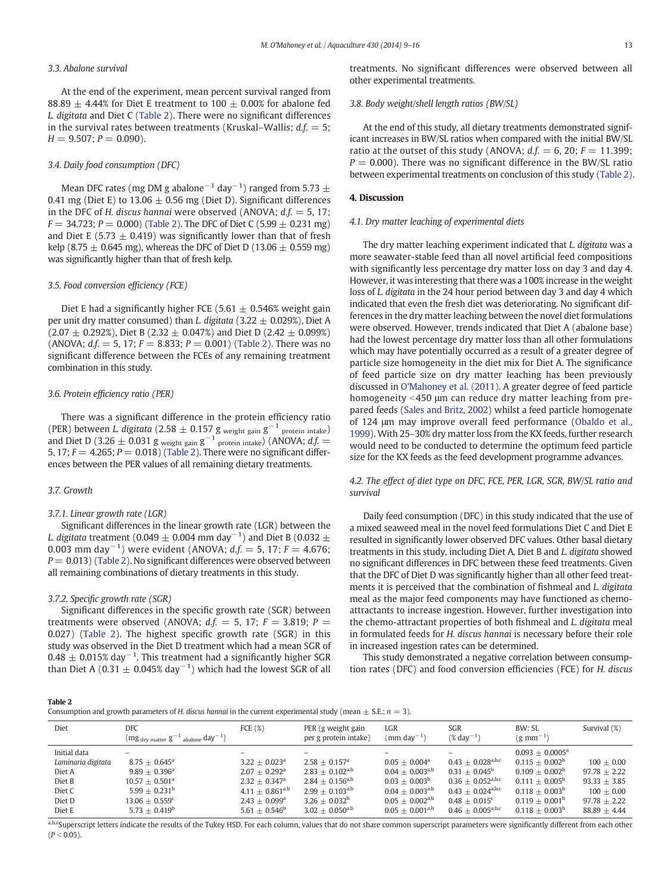# 3.3. Abalone survival

At the end of the experiment, mean percent survival ranged from 88.89  $\pm$  4.44% for Diet E treatment to 100  $\pm$  0.00% for abalone fed L. digitata and Diet C (Table 2). There were no significant differences in the survival rates between treatments (Kruskal–Wallis;  $d.f. = 5$ ;  $H = 9.507; P = 0.090$ .

# 3.4. Daily food consumption (DFC)

Mean DFC rates (mg DM g abalone $^{-1}$  day $^{-1}$ ) ranged from 5.73  $\pm$ 0.41 mg (Diet E) to 13.06  $\pm$  0.56 mg (Diet D). Significant differences in the DFC of H, discus hannai were observed (ANOVA;  $d.f. = 5, 17$ ;  $F = 34.723$ ;  $P = 0.000$  (Table 2). The DFC of Diet C (5.99  $\pm$  0.231 mg) and Diet E (5.73  $\pm$  0.419) was significantly lower than that of fresh kelp (8.75  $\pm$  0.645 mg), whereas the DFC of Diet D (13.06  $\pm$  0.559 mg) was significantly higher than that of fresh kelp.

# 3.5. Food conversion efficiency (FCE)

Diet E had a significantly higher FCE (5.61  $\pm$  0.546% weight gain per unit dry matter consumed) than *L. digitata* (3.22  $\pm$  0.029%), Diet A  $(2.07 \pm 0.292\%)$ , Diet B (2.32  $\pm$  0.047%) and Diet D (2.42  $\pm$  0.099%) (ANOVA;  $d.f. = 5$ , 17;  $F = 8.833$ ;  $P = 0.001$ ) (Table 2). There was no significant difference between the FCEs of any remaining treatment combination in this study.

# 3.6. Protein efficiency ratio (PER)

There was a significant difference in the protein efficiency ratio (PER) between L. digitata (2.58  $\pm$  0.157 g weight gain  $g^{-1}$  protein intake) and Diet D (3.26  $\pm$  0.031 g weight gain  $g^{-1}$  protein intake) (ANOVA;  $df =$ 5, 17;  $F = 4.265$ ;  $P = 0.018$ ) (Table 2). There were no significant differences between the PER values of all remaining dietary treatments.

#### 3.7. Growth

# 3.7.1. Linear growth rate (LGR)

Significant differences in the linear growth rate (LGR) between the L. digitata treatment (0.049  $\pm$  0.004 mm day $^{-1})$  and Diet B (0.032  $\pm$ 0.003 mm day $^{-1}$ ) were evident (ANOVA;  $d.f. = 5$ , 17;  $F = 4.676$ ;  $P = 0.013$ ) (Table 2). No significant differences were observed between all remaining combinations of dietary treatments in this study.

# 3.7.2. Specific growth rate (SGR)

Significant differences in the specific growth rate (SGR) between treatments were observed (ANOVA;  $d.f. = 5$ , 17;  $F = 3.819$ ;  $P =$ 0.027) (Table 2). The highest specific growth rate (SGR) in this study was observed in the Diet D treatment which had a mean SGR of  $0.48\pm0.015\%$  day $^{-1}$ . This treatment had a significantly higher SGR than Diet A (0.31  $\pm$  0.045% day $^{-1})$  which had the lowest SGR of all

treatments. No significant differences were observed between all other experimental treatments.

# 3.8. Body weight/shell length ratios (BW/SL)

At the end of this study, all dietary treatments demonstrated significant increases in BW/SL ratios when compared with the initial BW/SL ratio at the outset of this study (ANOVA;  $d.f. = 6, 20; F = 11.399;$  $P = 0.000$ ). There was no significant difference in the BW/SL ratio between experimental treatments on conclusion of this study (Table 2).

#### 4. Discussion

# 4.1. Dry matter leaching of experimental diets

The dry matter leaching experiment indicated that L. digitata was a more seawater-stable feed than all novel artificial feed compositions with significantly less percentage dry matter loss on day 3 and day 4. However, it was interesting that there was a 100% increase in the weight loss of L. digitata in the 24 hour period between day 3 and day 4 which indicated that even the fresh diet was deteriorating. No significant differences in the dry matter leaching between the novel diet formulations were observed. However, trends indicated that Diet A (abalone base) had the lowest percentage dry matter loss than all other formulations which may have potentially occurred as a result of a greater degree of particle size homogeneity in the diet mix for Diet A. The significance of feed particle size on dry matter leaching has been previously discussed in [O'Mahoney et al. \(2011\).](#page-7-0) A greater degree of feed particle homogeneity b450 μm can reduce dry matter leaching from prepared feeds ([Sales and Britz, 2002](#page-7-0)) whilst a feed particle homogenate of 124 μm may improve overall feed performance ([Obaldo et al.,](#page-7-0) [1999](#page-7-0)). With 25–30% dry matter loss from the KX feeds, further research would need to be conducted to determine the optimum feed particle size for the KX feeds as the feed development programme advances.

# 4.2. The effect of diet type on DFC, FCE, PER, LGR, SGR, BW/SL ratio and survival

Daily feed consumption (DFC) in this study indicated that the use of a mixed seaweed meal in the novel feed formulations Diet C and Diet E resulted in significantly lower observed DFC values. Other basal dietary treatments in this study, including Diet A, Diet B and L. digitata showed no significant differences in DFC between these feed treatments. Given that the DFC of Diet D was significantly higher than all other feed treatments it is perceived that the combination of fishmeal and L. digitata meal as the major feed components may have functioned as chemoattractants to increase ingestion. However, further investigation into the chemo-attractant properties of both fishmeal and L. digitata meal in formulated feeds for H. discus hannai is necessary before their role in increased ingestion rates can be determined.

This study demonstrated a negative correlation between consumption rates (DFC) and food conversion efficiencies (FCE) for H. discus

|  |  |  |  | Consumption and growth parameters of H. discus hannai in the current experimental study (mean $\pm$ S.E.; $n = 3$ ). |  |  |  |
|--|--|--|--|----------------------------------------------------------------------------------------------------------------------|--|--|--|
|  |  |  |  |                                                                                                                      |  |  |  |

| Diet               | <b>DFC</b><br>$\frac{1}{a}$ <sub>abalone</sub> day <sup>-1</sup> )<br>$(mg_{\text{ dry matter}}g^{-1})$ | FCE $(\%)$                  | PER (g weight gain<br>per g protein intake) | LGR<br>$(mm \, \text{day}^{-1})$   | <b>SGR</b><br>$(\%$ day <sup>-1</sup> )     | BW: SL<br>$(g \text{ mm}^{-1})$ | Survival (%)   |
|--------------------|---------------------------------------------------------------------------------------------------------|-----------------------------|---------------------------------------------|------------------------------------|---------------------------------------------|---------------------------------|----------------|
| Initial data       |                                                                                                         |                             |                                             |                                    |                                             | $0.093 + 0.0005^{\text{a}}$     |                |
| Laminaria digitata | $8.75 + 0.645^{\mathrm{a}}$                                                                             | $3.22 + 0.023$ <sup>a</sup> | $2.58 + 0.157$ <sup>a</sup>                 | $0.05 + 0.004$ <sup>a</sup>        | $0.43 + 0.028^{\text{a},\text{b},\text{c}}$ | $0.115 + 0.002^b$               | $100 + 0.00$   |
| Diet A             | $9.89 + 0.396^{\mathrm{a}}$                                                                             | $2.07 + 0.292$ <sup>a</sup> | $2.83 + 0.102^{a,b}$                        | $0.04 + 0.003^{a,b}$               | $0.31 + 0.045^{\rm b}$                      | $0.109 + 0.002^b$               | $97.78 + 2.22$ |
| Diet B             | $10.57 + 0.501$ <sup>a</sup>                                                                            | $2.32 + 0.347$ <sup>a</sup> | $2.84 + 0.156$ <sup>a,b</sup>               | $0.03 + 0.003^b$                   | $0.36 + 0.052^{\text{a,b,c}}$               | $0.111 + 0.005^b$               | $93.33 + 3.85$ |
| Diet C             | $5.99 + 0.231^b$                                                                                        | $4.11 + 0.861^{a,b}$        | $2.99 + 0.103^{a,b}$                        | $0.04 + 0.003^{\text{a},\text{b}}$ | $0.43 + 0.024^{\text{a,b,c}}$               | $0.118 + 0.003^b$               | $100 + 0.00$   |
| Diet D             | $13.06 + 0.559^c$                                                                                       | $2.43 + 0.099^{\rm a}$      | $3.26 + 0.032^b$                            | $0.05 + 0.002$ <sup>a,b</sup>      | $0.48 + 0.015^c$                            | $0.119 + 0.001^b$               | $97.78 + 2.22$ |
| Diet E             | $5.73 + 0.419^b$                                                                                        | $5.61 + 0.546^b$            | $3.02 + 0.050^{a,b}$                        | $0.05 + 0.001^{a,b}$               | $0.46 + 0.005^{\text{a,b,c}}$               | $0.118 + 0.003^b$               | $88.89 + 4.44$ |

a,b,cSuperscript letters indicate the results of the Tukey HSD. For each column, values that do not share common superscript parameters were significantly different from each other  $(P < 0.05)$ .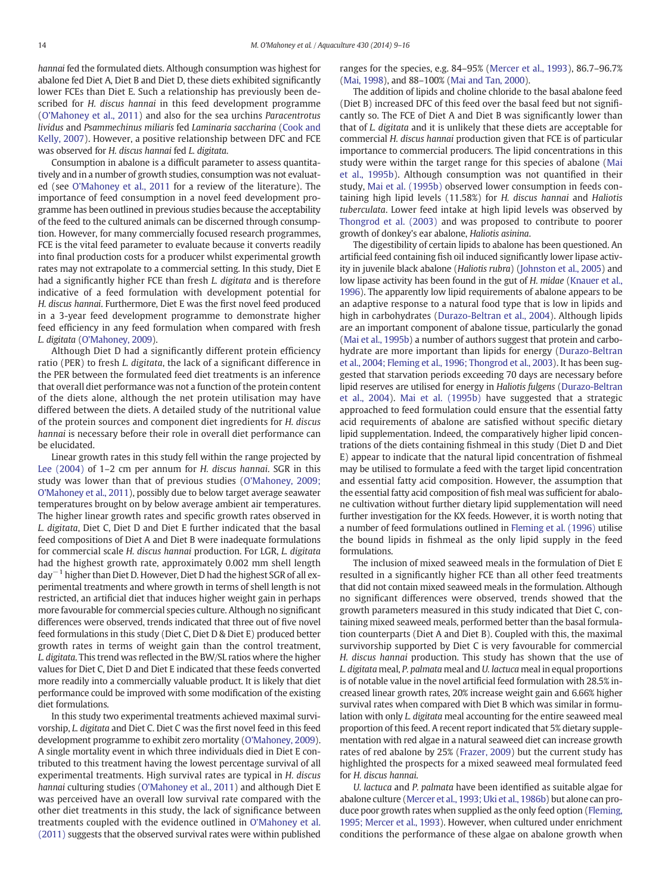hannai fed the formulated diets. Although consumption was highest for abalone fed Diet A, Diet B and Diet D, these diets exhibited significantly lower FCEs than Diet E. Such a relationship has previously been described for H. discus hannai in this feed development programme [\(O'Mahoney et al., 2011](#page-7-0)) and also for the sea urchins Paracentrotus lividus and Psammechinus miliaris fed Laminaria saccharina ([Cook and](#page-6-0) [Kelly, 2007\)](#page-6-0). However, a positive relationship between DFC and FCE was observed for H. discus hannai fed L. digitata.

Consumption in abalone is a difficult parameter to assess quantitatively and in a number of growth studies, consumption was not evaluated (see [O'Mahoney et al., 2011](#page-7-0) for a review of the literature). The importance of feed consumption in a novel feed development programme has been outlined in previous studies because the acceptability of the feed to the cultured animals can be discerned through consumption. However, for many commercially focused research programmes, FCE is the vital feed parameter to evaluate because it converts readily into final production costs for a producer whilst experimental growth rates may not extrapolate to a commercial setting. In this study, Diet E had a significantly higher FCE than fresh L. digitata and is therefore indicative of a feed formulation with development potential for H. discus hannai. Furthermore, Diet E was the first novel feed produced in a 3-year feed development programme to demonstrate higher feed efficiency in any feed formulation when compared with fresh L. digitata ([O'Mahoney, 2009\)](#page-7-0).

Although Diet D had a significantly different protein efficiency ratio (PER) to fresh L. digitata, the lack of a significant difference in the PER between the formulated feed diet treatments is an inference that overall diet performance was not a function of the protein content of the diets alone, although the net protein utilisation may have differed between the diets. A detailed study of the nutritional value of the protein sources and component diet ingredients for H. discus hannai is necessary before their role in overall diet performance can be elucidated.

Linear growth rates in this study fell within the range projected by [Lee \(2004\)](#page-7-0) of 1–2 cm per annum for H. discus hannai. SGR in this study was lower than that of previous studies ([O'Mahoney, 2009;](#page-7-0) [O'Mahoney et al., 2011](#page-7-0)), possibly due to below target average seawater temperatures brought on by below average ambient air temperatures. The higher linear growth rates and specific growth rates observed in L. digitata, Diet C, Diet D and Diet E further indicated that the basal feed compositions of Diet A and Diet B were inadequate formulations for commercial scale H. discus hannai production. For LGR, L. digitata had the highest growth rate, approximately 0.002 mm shell length  $\text{day}^{-1}$  higher than Diet D. However, Diet D had the highest SGR of all experimental treatments and where growth in terms of shell length is not restricted, an artificial diet that induces higher weight gain in perhaps more favourable for commercial species culture. Although no significant differences were observed, trends indicated that three out of five novel feed formulations in this study (Diet C, Diet D & Diet E) produced better growth rates in terms of weight gain than the control treatment, L. digitata. This trend was reflected in the BW/SL ratios where the higher values for Diet C, Diet D and Diet E indicated that these feeds converted more readily into a commercially valuable product. It is likely that diet performance could be improved with some modification of the existing diet formulations.

In this study two experimental treatments achieved maximal survivorship, L. digitata and Diet C. Diet C was the first novel feed in this feed development programme to exhibit zero mortality ([O'Mahoney, 2009\)](#page-7-0). A single mortality event in which three individuals died in Diet E contributed to this treatment having the lowest percentage survival of all experimental treatments. High survival rates are typical in H. discus hannai culturing studies ([O'Mahoney et al., 2011\)](#page-7-0) and although Diet E was perceived have an overall low survival rate compared with the other diet treatments in this study, the lack of significance between treatments coupled with the evidence outlined in [O'Mahoney et al.](#page-7-0) [\(2011\)](#page-7-0) suggests that the observed survival rates were within published ranges for the species, e.g. 84–95% ([Mercer et al., 1993](#page-7-0)), 86.7–96.7% [\(Mai, 1998](#page-7-0)), and 88–100% [\(Mai and Tan, 2000\)](#page-7-0).

The addition of lipids and choline chloride to the basal abalone feed (Diet B) increased DFC of this feed over the basal feed but not significantly so. The FCE of Diet A and Diet B was significantly lower than that of L. digitata and it is unlikely that these diets are acceptable for commercial H. discus hannai production given that FCE is of particular importance to commercial producers. The lipid concentrations in this study were within the target range for this species of abalone ([Mai](#page-7-0) [et al., 1995b\)](#page-7-0). Although consumption was not quantified in their study, [Mai et al. \(1995b\)](#page-7-0) observed lower consumption in feeds containing high lipid levels (11.58%) for H. discus hannai and Haliotis tuberculata. Lower feed intake at high lipid levels was observed by [Thongrod et al. \(2003\)](#page-7-0) and was proposed to contribute to poorer growth of donkey's ear abalone, Haliotis asinina.

The digestibility of certain lipids to abalone has been questioned. An artificial feed containing fish oil induced significantly lower lipase activity in juvenile black abalone (Haliotis rubra) [\(Johnston et al., 2005\)](#page-7-0) and low lipase activity has been found in the gut of H. midae [\(Knauer et al.,](#page-7-0) [1996\)](#page-7-0). The apparently low lipid requirements of abalone appears to be an adaptive response to a natural food type that is low in lipids and high in carbohydrates ([Durazo-Beltran et al., 2004](#page-6-0)). Although lipids are an important component of abalone tissue, particularly the gonad [\(Mai et al., 1995b](#page-7-0)) a number of authors suggest that protein and carbohydrate are more important than lipids for energy ([Durazo-Beltran](#page-6-0) [et al., 2004; Fleming et al., 1996; Thongrod et al., 2003\)](#page-6-0). It has been suggested that starvation periods exceeding 70 days are necessary before lipid reserves are utilised for energy in Haliotis fulgens ([Durazo-Beltran](#page-6-0) [et al., 2004\)](#page-6-0). [Mai et al. \(1995b\)](#page-7-0) have suggested that a strategic approached to feed formulation could ensure that the essential fatty acid requirements of abalone are satisfied without specific dietary lipid supplementation. Indeed, the comparatively higher lipid concentrations of the diets containing fishmeal in this study (Diet D and Diet E) appear to indicate that the natural lipid concentration of fishmeal may be utilised to formulate a feed with the target lipid concentration and essential fatty acid composition. However, the assumption that the essential fatty acid composition of fish meal was sufficient for abalone cultivation without further dietary lipid supplementation will need further investigation for the KX feeds. However, it is worth noting that a number of feed formulations outlined in [Fleming et al. \(1996\)](#page-6-0) utilise the bound lipids in fishmeal as the only lipid supply in the feed formulations.

The inclusion of mixed seaweed meals in the formulation of Diet E resulted in a significantly higher FCE than all other feed treatments that did not contain mixed seaweed meals in the formulation. Although no significant differences were observed, trends showed that the growth parameters measured in this study indicated that Diet C, containing mixed seaweed meals, performed better than the basal formulation counterparts (Diet A and Diet B). Coupled with this, the maximal survivorship supported by Diet C is very favourable for commercial H. discus hannai production. This study has shown that the use of L. digitata meal, P. palmata meal and U. lactuca meal in equal proportions is of notable value in the novel artificial feed formulation with 28.5% increased linear growth rates, 20% increase weight gain and 6.66% higher survival rates when compared with Diet B which was similar in formulation with only L. digitata meal accounting for the entire seaweed meal proportion of this feed. A recent report indicated that 5% dietary supplementation with red algae in a natural seaweed diet can increase growth rates of red abalone by 25% [\(Frazer, 2009\)](#page-6-0) but the current study has highlighted the prospects for a mixed seaweed meal formulated feed for H. discus hannai.

U. lactuca and P. palmata have been identified as suitable algae for abalone culture [\(Mercer et al., 1993; Uki et al., 1986b](#page-7-0)) but alone can produce poor growth rates when supplied as the only feed option [\(Fleming,](#page-6-0) [1995; Mercer et al., 1993](#page-6-0)). However, when cultured under enrichment conditions the performance of these algae on abalone growth when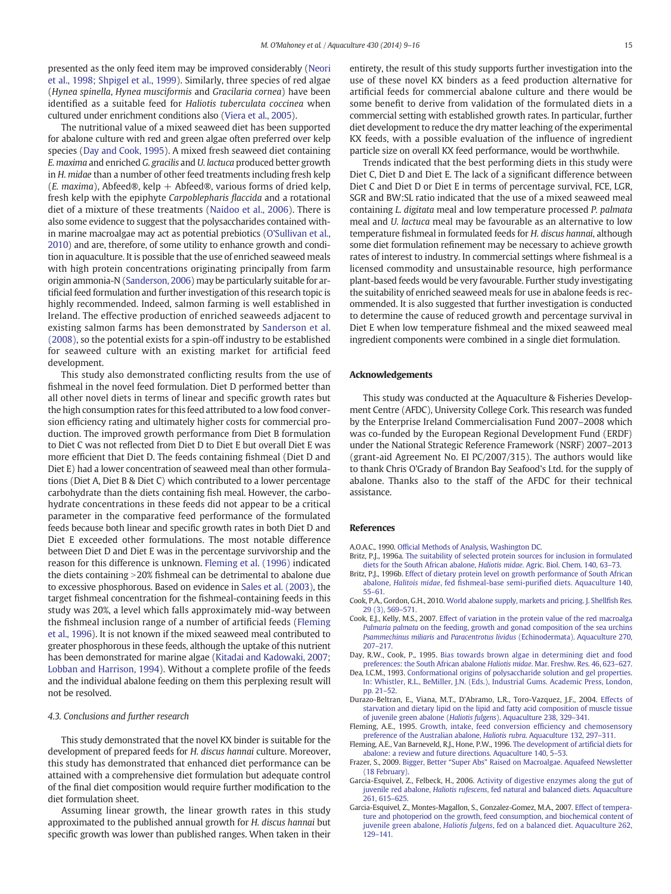<span id="page-6-0"></span>presented as the only feed item may be improved considerably ([Neori](#page-7-0) [et al., 1998; Shpigel et al., 1999\)](#page-7-0). Similarly, three species of red algae (Hynea spinella, Hynea musciformis and Gracilaria cornea) have been identified as a suitable feed for Haliotis tuberculata coccinea when cultured under enrichment conditions also ([Viera et al., 2005\)](#page-7-0).

The nutritional value of a mixed seaweed diet has been supported for abalone culture with red and green algae often preferred over kelp species (Day and Cook, 1995). A mixed fresh seaweed diet containing E. maxima and enriched G. gracilis and U. lactuca produced better growth in H. midae than a number of other feed treatments including fresh kelp  $(E. maxima)$ , Abfeed®, kelp + Abfeed®, various forms of dried kelp, fresh kelp with the epiphyte Carpoblepharis flaccida and a rotational diet of a mixture of these treatments [\(Naidoo et al., 2006](#page-7-0)). There is also some evidence to suggest that the polysaccharides contained within marine macroalgae may act as potential prebiotics ([O'Sullivan et al.,](#page-7-0) [2010](#page-7-0)) and are, therefore, of some utility to enhance growth and condition in aquaculture. It is possible that the use of enriched seaweed meals with high protein concentrations originating principally from farm origin ammonia-N ([Sanderson, 2006](#page-7-0)) may be particularly suitable for artificial feed formulation and further investigation of this research topic is highly recommended. Indeed, salmon farming is well established in Ireland. The effective production of enriched seaweeds adjacent to existing salmon farms has been demonstrated by [Sanderson et al.](#page-7-0) [\(2008\),](#page-7-0) so the potential exists for a spin-off industry to be established for seaweed culture with an existing market for artificial feed development.

This study also demonstrated conflicting results from the use of fishmeal in the novel feed formulation. Diet D performed better than all other novel diets in terms of linear and specific growth rates but the high consumption rates for this feed attributed to a low food conversion efficiency rating and ultimately higher costs for commercial production. The improved growth performance from Diet B formulation to Diet C was not reflected from Diet D to Diet E but overall Diet E was more efficient that Diet D. The feeds containing fishmeal (Diet D and Diet E) had a lower concentration of seaweed meal than other formulations (Diet A, Diet B & Diet C) which contributed to a lower percentage carbohydrate than the diets containing fish meal. However, the carbohydrate concentrations in these feeds did not appear to be a critical parameter in the comparative feed performance of the formulated feeds because both linear and specific growth rates in both Diet D and Diet E exceeded other formulations. The most notable difference between Diet D and Diet E was in the percentage survivorship and the reason for this difference is unknown. Fleming et al. (1996) indicated the diets containing  $>20\%$  fishmeal can be detrimental to abalone due to excessive phosphorous. Based on evidence in [Sales et al. \(2003\)](#page-7-0), the target fishmeal concentration for the fishmeal-containing feeds in this study was 20%, a level which falls approximately mid-way between the fishmeal inclusion range of a number of artificial feeds (Fleming et al., 1996). It is not known if the mixed seaweed meal contributed to greater phosphorous in these feeds, although the uptake of this nutrient has been demonstrated for marine algae ([Kitadai and Kadowaki, 2007;](#page-7-0) [Lobban and Harrison, 1994](#page-7-0)). Without a complete profile of the feeds and the individual abalone feeding on them this perplexing result will not be resolved.

# 4.3. Conclusions and further research

This study demonstrated that the novel KX binder is suitable for the development of prepared feeds for H. discus hannai culture. Moreover, this study has demonstrated that enhanced diet performance can be attained with a comprehensive diet formulation but adequate control of the final diet composition would require further modification to the diet formulation sheet.

Assuming linear growth, the linear growth rates in this study approximated to the published annual growth for H. discus hannai but specific growth was lower than published ranges. When taken in their entirety, the result of this study supports further investigation into the use of these novel KX binders as a feed production alternative for artificial feeds for commercial abalone culture and there would be some benefit to derive from validation of the formulated diets in a commercial setting with established growth rates. In particular, further diet development to reduce the dry matter leaching of the experimental KX feeds, with a possible evaluation of the influence of ingredient particle size on overall KX feed performance, would be worthwhile.

Trends indicated that the best performing diets in this study were Diet C, Diet D and Diet E. The lack of a significant difference between Diet C and Diet D or Diet E in terms of percentage survival, FCE, LGR, SGR and BW:SL ratio indicated that the use of a mixed seaweed meal containing L. digitata meal and low temperature processed P. palmata meal and U. lactuca meal may be favourable as an alternative to low temperature fishmeal in formulated feeds for H. discus hannai, although some diet formulation refinement may be necessary to achieve growth rates of interest to industry. In commercial settings where fishmeal is a licensed commodity and unsustainable resource, high performance plant-based feeds would be very favourable. Further study investigating the suitability of enriched seaweed meals for use in abalone feeds is recommended. It is also suggested that further investigation is conducted to determine the cause of reduced growth and percentage survival in Diet E when low temperature fishmeal and the mixed seaweed meal ingredient components were combined in a single diet formulation.

# Acknowledgements

This study was conducted at the Aquaculture & Fisheries Development Centre (AFDC), University College Cork. This research was funded by the Enterprise Ireland Commercialisation Fund 2007–2008 which was co-funded by the European Regional Development Fund (ERDF) under the National Strategic Reference Framework (NSRF) 2007–2013 (grant-aid Agreement No. EI PC/2007/315). The authors would like to thank Chris O'Grady of Brandon Bay Seafood's Ltd. for the supply of abalone. Thanks also to the staff of the AFDC for their technical assistance.

#### References

- A.O.A.C., 1990. Offi[cial Methods of Analysis, Washington DC.](http://refhub.elsevier.com/S0044-8486(14)00099-4/rf0240)
- Britz, P.J., 1996a. [The suitability of selected protein sources for inclusion in formulated](http://refhub.elsevier.com/S0044-8486(14)00099-4/rf0005) [diets for the South African abalone,](http://refhub.elsevier.com/S0044-8486(14)00099-4/rf0005) Haliotis midae. Agric. Biol. Chem. 140, 63–73.
- Britz, P.J., 1996b. [Effect of dietary protein level on growth performance of South African](http://refhub.elsevier.com/S0044-8486(14)00099-4/rf0010) abalone, Halitois midae, fed fishmeal-base semi-purifi[ed diets. Aquaculture 140,](http://refhub.elsevier.com/S0044-8486(14)00099-4/rf0010) [55](http://refhub.elsevier.com/S0044-8486(14)00099-4/rf0010)–61.
- Cook, P.A., Gordon, G.H., 2010. [World abalone supply, markets and pricing. J. Shell](http://refhub.elsevier.com/S0044-8486(14)00099-4/rf0015)fish Res. [29 \(3\), 569](http://refhub.elsevier.com/S0044-8486(14)00099-4/rf0015)–571.
- Cook, E.J., Kelly, M.S., 2007. [Effect of variation in the protein value of the red macroalga](http://refhub.elsevier.com/S0044-8486(14)00099-4/rf0020) Palmaria palmata [on the feeding, growth and gonad composition of the sea urchins](http://refhub.elsevier.com/S0044-8486(14)00099-4/rf0020) Psammechinus miliaris and Paracentrotus lividus [\(Echinodermata\). Aquaculture 270,](http://refhub.elsevier.com/S0044-8486(14)00099-4/rf0020) [207](http://refhub.elsevier.com/S0044-8486(14)00099-4/rf0020)–217.
- Day, R.W., Cook, P., 1995. [Bias towards brown algae in determining diet and food](http://refhub.elsevier.com/S0044-8486(14)00099-4/rf0025) [preferences: the South African abalone](http://refhub.elsevier.com/S0044-8486(14)00099-4/rf0025) Haliotis midae. Mar. Freshw. Res. 46, 623–627.
- Dea, I.C.M., 1993. [Conformational origins of polysaccharide solution and gel properties.](http://refhub.elsevier.com/S0044-8486(14)00099-4/rf0245) [In: Whistler, R.L., BeMiller, J.N. \(Eds.\), Industrial Gums. Academic Press, London,](http://refhub.elsevier.com/S0044-8486(14)00099-4/rf0245) [pp. 21](http://refhub.elsevier.com/S0044-8486(14)00099-4/rf0245)–52.
- Durazo-Beltran, E., Viana, M.T., D'Abramo, L.R., Toro-Vazquez, J.F., 2004. [Effects of](http://refhub.elsevier.com/S0044-8486(14)00099-4/rf0030) [starvation and dietary lipid on the lipid and fatty acid composition of muscle tissue](http://refhub.elsevier.com/S0044-8486(14)00099-4/rf0030) [of juvenile green abalone \(](http://refhub.elsevier.com/S0044-8486(14)00099-4/rf0030)Haliotis fulgens). Aquaculture 238, 329–341.
- Fleming, A.E., 1995. [Growth, intake, feed conversion ef](http://refhub.elsevier.com/S0044-8486(14)00099-4/rf0035)ficiency and chemosensory [preference of the Australian abalone,](http://refhub.elsevier.com/S0044-8486(14)00099-4/rf0035) Haliotis rubra. Aquaculture 132, 297–311.
- Fleming, A.E., Van Barneveld, R.J., Hone, P.W., 1996. [The development of arti](http://refhub.elsevier.com/S0044-8486(14)00099-4/rf0040)ficial diets for [abalone: a review and future directions. Aquaculture 140, 5](http://refhub.elsevier.com/S0044-8486(14)00099-4/rf0040)–53.
- Frazer, S., 2009. Bigger, Better "Super Abs" [Raised on Macroalgae. Aquafeed Newsletter](http://refhub.elsevier.com/S0044-8486(14)00099-4/rf0250) [\(18 February\).](http://refhub.elsevier.com/S0044-8486(14)00099-4/rf0250)
- Garcia-Esquivel, Z., Felbeck, H., 2006. [Activity of digestive enzymes along the gut of](http://refhub.elsevier.com/S0044-8486(14)00099-4/rf0050) juvenile red abalone, Haliotis rufescens[, fed natural and balanced diets. Aquaculture](http://refhub.elsevier.com/S0044-8486(14)00099-4/rf0050) [261, 615](http://refhub.elsevier.com/S0044-8486(14)00099-4/rf0050)–625.
- Garcia-Esquivel, Z., Montes-Magallon, S., Gonzalez-Gomez, M.A., 2007. [Effect of tempera](http://refhub.elsevier.com/S0044-8486(14)00099-4/rf0055)[ture and photoperiod on the growth, feed consumption, and biochemical content of](http://refhub.elsevier.com/S0044-8486(14)00099-4/rf0055) juvenile green abalone, Haliotis fulgens[, fed on a balanced diet. Aquaculture 262,](http://refhub.elsevier.com/S0044-8486(14)00099-4/rf0055) [129](http://refhub.elsevier.com/S0044-8486(14)00099-4/rf0055)–141.